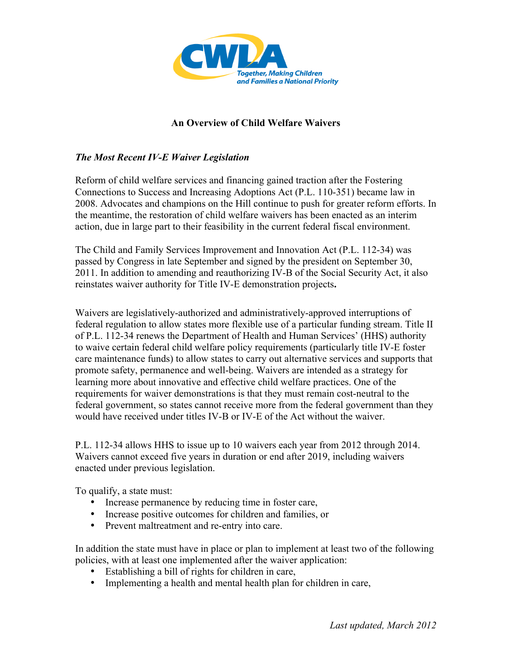

## **An Overview of Child Welfare Waivers**

## *The Most Recent IV-E Waiver Legislation*

Reform of child welfare services and financing gained traction after the Fostering Connections to Success and Increasing Adoptions Act (P.L. 110-351) became law in 2008. Advocates and champions on the Hill continue to push for greater reform efforts. In the meantime, the restoration of child welfare waivers has been enacted as an interim action, due in large part to their feasibility in the current federal fiscal environment.

The Child and Family Services Improvement and Innovation Act (P.L. 112-34) was passed by Congress in late September and signed by the president on September 30, 2011. In addition to amending and reauthorizing IV-B of the Social Security Act, it also reinstates waiver authority for Title IV-E demonstration projects**.** 

Waivers are legislatively-authorized and administratively-approved interruptions of federal regulation to allow states more flexible use of a particular funding stream. Title II of P.L. 112-34 renews the Department of Health and Human Services' (HHS) authority to waive certain federal child welfare policy requirements (particularly title IV-E foster care maintenance funds) to allow states to carry out alternative services and supports that promote safety, permanence and well-being. Waivers are intended as a strategy for learning more about innovative and effective child welfare practices. One of the requirements for waiver demonstrations is that they must remain cost-neutral to the federal government, so states cannot receive more from the federal government than they would have received under titles IV-B or IV-E of the Act without the waiver.

P.L. 112-34 allows HHS to issue up to 10 waivers each year from 2012 through 2014. Waivers cannot exceed five years in duration or end after 2019, including waivers enacted under previous legislation.

To qualify, a state must:

- Increase permanence by reducing time in foster care,
- Increase positive outcomes for children and families, or
- Prevent maltreatment and re-entry into care.

In addition the state must have in place or plan to implement at least two of the following policies, with at least one implemented after the waiver application:

- Establishing a bill of rights for children in care,
- Implementing a health and mental health plan for children in care,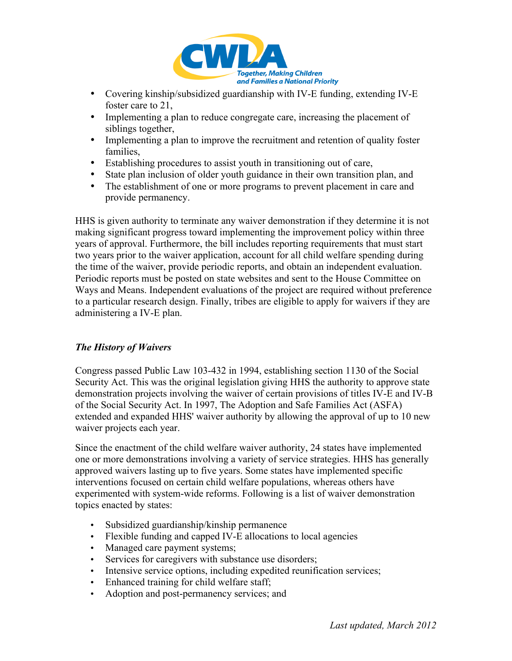

- Covering kinship/subsidized guardianship with IV-E funding, extending IV-E foster care to 21,
- Implementing a plan to reduce congregate care, increasing the placement of siblings together,
- Implementing a plan to improve the recruitment and retention of quality foster families,
- Establishing procedures to assist youth in transitioning out of care,
- State plan inclusion of older youth guidance in their own transition plan, and
- The establishment of one or more programs to prevent placement in care and provide permanency.

HHS is given authority to terminate any waiver demonstration if they determine it is not making significant progress toward implementing the improvement policy within three years of approval. Furthermore, the bill includes reporting requirements that must start two years prior to the waiver application, account for all child welfare spending during the time of the waiver, provide periodic reports, and obtain an independent evaluation. Periodic reports must be posted on state websites and sent to the House Committee on Ways and Means. Independent evaluations of the project are required without preference to a particular research design. Finally, tribes are eligible to apply for waivers if they are administering a IV-E plan.

## *The History of Waivers*

Congress passed Public Law 103-432 in 1994, establishing section 1130 of the Social Security Act. This was the original legislation giving HHS the authority to approve state demonstration projects involving the waiver of certain provisions of titles IV-E and IV-B of the Social Security Act. In 1997, The Adoption and Safe Families Act (ASFA) extended and expanded HHS' waiver authority by allowing the approval of up to 10 new waiver projects each year.

Since the enactment of the child welfare waiver authority, 24 states have implemented one or more demonstrations involving a variety of service strategies. HHS has generally approved waivers lasting up to five years. Some states have implemented specific interventions focused on certain child welfare populations, whereas others have experimented with system-wide reforms. Following is a list of waiver demonstration topics enacted by states:

- Subsidized guardianship/kinship permanence
- Flexible funding and capped IV-E allocations to local agencies
- Managed care payment systems;
- Services for caregivers with substance use disorders;
- Intensive service options, including expedited reunification services;
- Enhanced training for child welfare staff;
- Adoption and post-permanency services; and